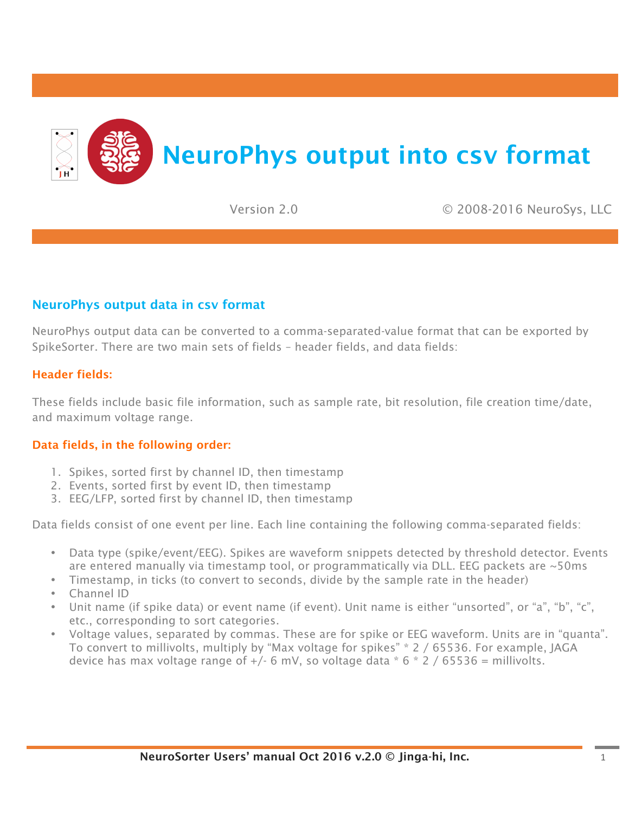

Version 2.0 © 2008-2016 NeuroSys, LLC

## NeuroPhys output data in csv format

NeuroPhys output data can be converted to a comma-separated-value format that can be exported by SpikeSorter. There are two main sets of fields – header fields, and data fields:

## Header fields:

These fields include basic file information, such as sample rate, bit resolution, file creation time/date, and maximum voltage range.

## Data fields, in the following order:

- 1. Spikes, sorted first by channel ID, then timestamp
- 2. Events, sorted first by event ID, then timestamp
- 3. EEG/LFP, sorted first by channel ID, then timestamp

Data fields consist of one event per line. Each line containing the following comma-separated fields:

- Data type (spike/event/EEG). Spikes are waveform snippets detected by threshold detector. Events are entered manually via timestamp tool, or programmatically via DLL. EEG packets are ~50ms
- Timestamp, in ticks (to convert to seconds, divide by the sample rate in the header)
- Channel ID
- Unit name (if spike data) or event name (if event). Unit name is either "unsorted", or "a", "b", "c", etc., corresponding to sort categories.
- Voltage values, separated by commas. These are for spike or EEG waveform. Units are in "quanta". To convert to millivolts, multiply by "Max voltage for spikes" \* 2 / 65536. For example, JAGA device has max voltage range of  $+/$ - 6 mV, so voltage data  $*$  6  $*$  2 / 65536 = millivolts.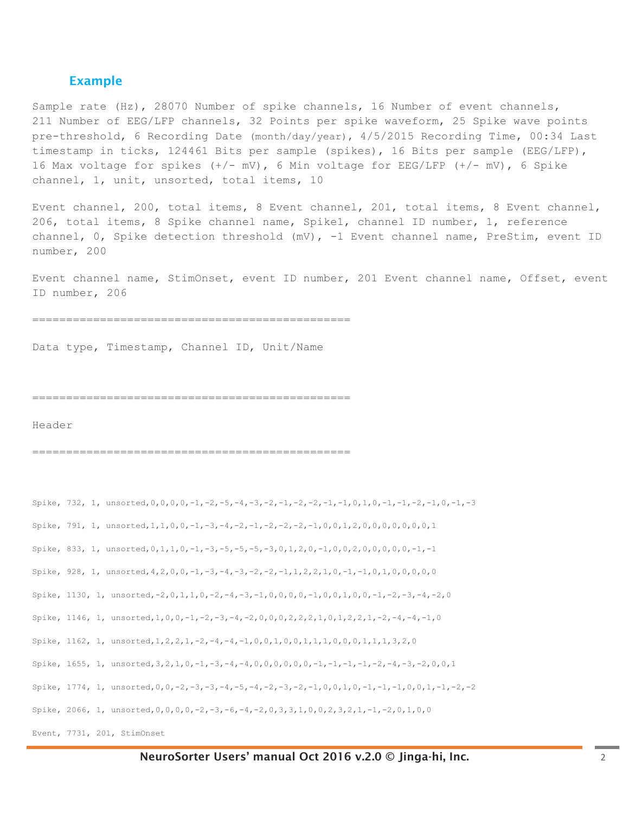## Example

Sample rate (Hz), 28070 Number of spike channels, 16 Number of event channels, 211 Number of EEG/LFP channels, 32 Points per spike waveform, 25 Spike wave points pre-threshold, 6 Recording Date (month/day/year), 4/5/2015 Recording Time, 00:34 Last timestamp in ticks, 124461 Bits per sample (spikes), 16 Bits per sample (EEG/LFP), 16 Max voltage for spikes (+/- mV), 6 Min voltage for EEG/LFP (+/- mV), 6 Spike channel, 1, unit, unsorted, total items, 10

Event channel, 200, total items, 8 Event channel, 201, total items, 8 Event channel, 206, total items, 8 Spike channel name, Spike1, channel ID number, 1, reference channel, 0, Spike detection threshold (mV), -1 Event channel name, PreStim, event ID number, 200

Event channel name, StimOnset, event ID number, 201 Event channel name, Offset, event ID number, 206

===============================================

Data type, Timestamp, Channel ID, Unit/Name

===============================================

Header

===============================================

```
Spike, 732, 1, unsorted,0,0,0,0,-1,-2,-5,-4,-3,-2,-1,-2,-2,-1,-1,0,1,0,-1,-1,-2,-1,0,-1,-3 
Spike, 791, 1, unsorted, 1, 1, 0, 0, -1, -3, -4, -2, -1, -2, -2, -2, -1, 0, 0, 1, 2, 0, 0, 0, 0, 0, 0, 0, 0, 1
Spike, 833, 1, unsorted,0,1,1,0,-1,-3,-5,-5,-5,-3,0,1,2,0,-1,0,0,2,0,0,0,0,0,-1,-1 
Spike, 928, 1, unsorted,4,2,0,0,-1,-3,-4,-3,-2,-2,-1,1,2,2,1,0,-1,-1,0,1,0,0,0,0,0 
Spike, 1130, 1, unsorted,-2,0,1,1,0,-2,-4,-3,-1,0,0,0,0,-1,0,0,1,0,0,-1,-2,-3,-4,-2,0 
Spike, 1146, 1, unsorted,1,0,0,-1,-2,-3,-4,-2,0,0,0,2,2,2,1,0,1,2,2,1,-2,-4,-4,-1,0 
Spike, 1162, 1, unsorted,1,2,2,1,-2,-4,-4,-1,0,0,1,0,0,1,1,1,0,0,0,1,1,1,3,2,0 
Spike, 1655, 1, unsorted,3,2,1,0,-1,-3,-4,-4,0,0,0,0,0,0,-1,-1,-1,-1,-2,-4,-3,-2,0,0,1 
Spike, 1774, 1, unsorted,0,0,-2,-3,-3,-4,-5,-4,-2,-3,-2,-1,0,0,1,0,-1,-1,-1,0,0,1,-1,-2,-2 
Spike, 2066, 1, unsorted, 0, 0, 0, 0, -2, -3, -6, -4, -2, 0, 3, 3, 1, 0, 0, 2, 3, 2, 1, -1, -2, 0, 1, 0, 0
Event, 7731, 201, StimOnset
```
NeuroSorter Users' manual Oct 2016 v.2.0 © Jinga-hi, Inc. 2